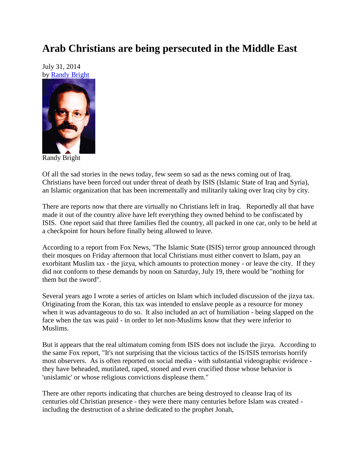## **Arab Christians are being persecuted in the Middle East**

July 31, 2014 by [Randy Bright](http://tulsabeacon.com/writers/randy-bright/)



Randy Bright

Of all the sad stories in the news today, few seem so sad as the news coming out of Iraq. Christians have been forced out under threat of death by ISIS (Islamic State of Iraq and Syria), an Islamic organization that has been incrementally and militarily taking over Iraq city by city.

There are reports now that there are virtually no Christians left in Iraq. Reportedly all that have made it out of the country alive have left everything they owned behind to be confiscated by ISIS. One report said that three families fled the country, all packed in one car, only to be held at a checkpoint for hours before finally being allowed to leave.

According to a report from Fox News, "The Islamic State (ISIS) terror group announced through their mosques on Friday afternoon that local Christians must either convert to Islam, pay an exorbitant Muslim tax - the jizya, which amounts to protection money - or leave the city. If they did not conform to these demands by noon on Saturday, July 19, there would be "nothing for them but the sword".

Several years ago I wrote a series of articles on Islam which included discussion of the jizya tax. Originating from the Koran, this tax was intended to enslave people as a resource for money when it was advantageous to do so. It also included an act of humiliation - being slapped on the face when the tax was paid - in order to let non-Muslims know that they were inferior to Muslims.

But it appears that the real ultimatum coming from ISIS does not include the jizya. According to the same Fox report, "It's not surprising that the vicious tactics of the IS/ISIS terrorists horrify most observers. As is often reported on social media - with substantial videographic evidence they have beheaded, mutilated, raped, stoned and even crucified those whose behavior is 'unislamic' or whose religious convictions displease them."

There are other reports indicating that churches are being destroyed to cleanse Iraq of its centuries old Christian presence - they were there many centuries before Islam was created including the destruction of a shrine dedicated to the prophet Jonah,